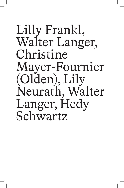# Lilly Frankl, Walter Langer, Christine Mayer-Fournier (Olden), Lily Neurath, Walter Langer, Hedy Schwartz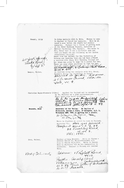Frankl, Lilly

40 Joyk youge,

Tanger, Walter.

connections (10.5.38) Heard from the Society for the Protection of Science and Learning that she had been offered a position with Gipsy Hill Training College and Mr. Adams was going to urge for a permit for her. Are are also other positions in view for the.<br>There are also other positions in view for her.<br>(3.6.38) HAS OLYMULA in the Law for the expected of the expectation. An American doing his analysis with Fr1. Freud.<br>Research fellow for Psychology in Boston. address.<br>at Close d'un faudre. Address.<br>H Closence Court, Ma da

Wishes to come

Is doing analysis with E. Kris.

to England to finish her analysis. Will be at least a year before she starts her control analysis. Perhaps has a chance of getting work at the Child Guidance Council, Institute of Medical Psychology (Dr. Calver). You wrote to Fr1. Freud that it was a difficult case and that you hoped she was following up her London

Christine Mayer-Fourneir (Olden)

Applied for England and is recommended by Dr. Fenichel as a good psycho-analyst.

Hams sachs a substitution

Secretary at the Verlag. Mr Bayliss of Nicholson, Graham & Jones, 19 Moorgate, E.C. 2.<br>Telephone MET: 7981 is getting her a permit. 31 Gioviers for solis, Tour

Wrote to Jagelman re permit to work in England. september 7th. Has got perman.<br>September 7th. Has got permit.<br>1201/201 cerril 17.9 39.<br>32 Finelley Road.<br>7RI; 1921.

Brother of Mrs. Neurath. Still in Vienna - Address Vienna XX, Wallensteinplatz 4/3.<br>Born in Vienna 24.V.1913. Wrote to Duncan Hall on September 9th re his immigration to Australia. Trained in Tannery and Leather Work.

Hedy Schwarty

Iddies: 17 Rylett Road<br>Peyphs - Analytical<br>Pedagogue - Toteryiesed<br>12133 Jaci Letter of Introduction

Neurath,  $M$ iss

Kruk, Walter,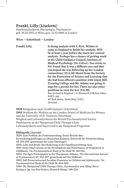## **Frankl, Lilly (Liselotte)**

Psychoanalytikerin, Psychologin, Psychiaterin geb. 18.05.1910 in Wien, gest. 12.10.1988 in London

#### **Wien — Schottland — London**

**Frankl, Lilly Is doing analysis with E. Kris. Wishes to come to England to finish her analysis. Will be at least a year before she starts her control analysis. Perhaps has a chance of getting work at the Child Guidance Council, Institute of Medical Psychology (Dr. Calver). You wrote to Frl. Freud that it was a difficult case and that you hoped she was following up her London connections (10.5.38) Heard from the Society for the Protection of Science and Learning that she had been offered a position with Gipsy Hill Training College and Mr. Adams was going to urge for a permit for her. There are also other positions in view for her. (9.6.38)**  *Has arrived in England. c/o Newmark, 6 Belsize Gdns., N.W.3. stet. 40 York House, Turks Row, S.W.3. Arrested.*

**1938** Emigration nach Großbritannien (Schottland) **1945** Studium der Medizin an der London School of Medicine for Women und der University of St. Andrews, Schottland Mitglied und Lehranalytikerin der British Psychoanalytical Society Psychiaterin an der Hampstead Child Therapy-Clinic Lehranalytikerin und Supervisorin am Hampstead Programm

#### **Bibliografie** (Auswahl)

1934: Zum Problem der Funktionsreifung. Erster Bericht über Entwicklungsprüfungen an albanischen Kindern, *Zeitschrift für Kinderforschung* 43: 219-254 (gemeinsam mit Lotte Danzinger). 1935: *Lohn und Strafe*. Ihre Bedeutung in der Familienerziehung. Jena. 1961: Some Observations on the Development and Disturbances of Integration in Childhood, *The Psychoanalytical Study of the Child* 16: 146-163. 1962: The Ego's Participation in the Therapeutic Alliance, *The International Journal of Psychoanalysis* 43: 333-337 (gemeinsam mit Ilse Hellman). 1963: Self-Preservation and Accident Proneness in Children and Adolescents, *The Psychoanalytical Study of the Child* 18: 464-483. 1964: Die Hampstead Child Therapy Clinic, *Psychoanalyse und Alltag*. Bern/ Stuttgart (hg. von Paul Federn, Heinrich Meng): 189-204.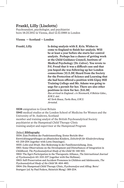## **Frankl, Lilly (Liselotte)**

Psychoanalyst, psychologist, and psychiatrist born 18.05.1910 in Vienna, died 12.10.1988 in London

#### **Vienna — Scotland — London**

**Frankl, Lilly Is doing analysis with E. Kris. Wishes to come to England to finish her analysis. Will be at least a year before she starts her control analysis. Perhaps has a chance of getting work at the Child Guidance Council, Institute of Medical Psychology (Dr. Calver). You wrote to Frl. Freud that it was a difficult case and that you hoped she was following up her London connections (10.5.38) Heard from the Society for the Protection of Science and Learning that she had been offered a position with Gipsy Hill Training College and Mr. Adams was going to urge for a permit for her. There are also other positions in view for her. (9.6.38)**  *Has arrived in England. c/o Newmark, 6 Belsize Gdns., N.W.3. stet. 40 York House, Turks Row, S.W.3. Arrested.*

**1938** emigration to Great Britain

**1945** medical studies at the London School of Medicine for Women and the University of St. Andrews, Scotland member and training analyst of the British Psychoanalytical Society psychiatrist at the Hampstead Child Therapy-Clinic training analyst and supervisor at the Hampstead Program

#### (Select) **Bibliography**

1934: Zum Problem der Funktionsreifung. Erster Bericht über Entwicklungsprüfungen an albanischen Kindern, *Zeitschrift für Kinderforschung* 43: 219-254 (together with Lotte Danzinger). 1935: *Lohn und Strafe*. Ihre Bedeutung in der Familienerziehung. Jena. 1961: Some Observations on the Development and Disturbances of Integration in Childhood, *The Psychoanalytical Study of the Child* 16: 146-163. 1962: The Ego's Participation in the Therapeutic Alliance, *The International Journal of Psychoanalysis* 43: 333-337 (together with Ilse Hellman). 1963: Self-Preservation and Accident Proneness in Children and Adolescents, *The Psychoanalytical Study of the Child* 18: 464-483. 1964: Die Hampstead Child Therapy Clinic, *Psychoanalyse und Alltag*. Bern/ Stuttgart (ed. by Paul Federn, Heinrich Meng): 189-204.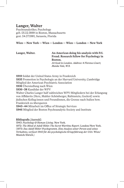# **Langer, Walter**

Psychoanalytiker, Psychologe geb. 05.02.1899 in Boston, Massachusetts gest. 04.07.1981, Sarasota, Florida

### **Wien — New York — Wien — London — Wien — London — New York**

Langer, Walter. **An American doing his analysis with Frl. Freud. Research fellow for Psychology in Boston.** 

> *Arrived in London. Address: 4 Florence Court, Maida Vale, W.9.*

**1919** Soldat der United States Army in Frankreich **1935** Promotion in Psychologie an der Harvard University, Cambridge Mitglied der American Psychiatric Association **1936** Übersiedlung nach Wien **1936–38** Kandidat der WPV Walter Charles Langer half zahlreichen WPV-Mitgliedern bei der Erlangung von Affidavits (Herz, Mahler-Schönberger, Rubinstein, Geelerd) sowie jüdischen Kolleg:innen und Freundinnen, die Grenze nach Italien bzw. Frankreich zu überqueren **1943–44** Mitarbeit im Office of Strategic Services **1946** Mitglied der Boston Psychoanalytic Society and Institute

**Bibliografie** (Auswahl)

1943: *Psychology & Human Living*. New York.

1972: *The Mind of Adolf Hitler. The Secret Wartime Report*. London/New York. (1973: *Das Adolf-Hitler-Psychogramm. Eine Analyse seiner Person und seines Verhaltens, verfasst 1943 für die psychologische Kriegsführung der USA*. Wien/ Munich/Zürich.)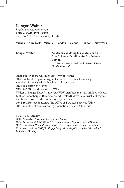# **Langer, Walter**

Psychoanalyst, psychologist born 05.02.1899 in Boston died 04.07.1981 in Sarasota, Florida

#### **Vienna — New York — Vienna — London — Vienna — London — New York**

Langer, Walter. **An American doing his analysis with Frl. Freud. Research fellow for Psychology in Boston.** 

*Arrived in London. Address: 4 Florence Court, Maida Vale, W.9.*

**1919** soldier of the United States Army in France **1935** doctorate in psychology at Harvard University, Cambridge member of the American Psychiatric Association **1936** relocation to Vienna **1936 to 1938** candidate of the WPV Walter C. Langer helped numerous WPV members to attain affidavits (Herz, Mahler-Schönberger, Rubinstein, and Geelerd) as well as Jewish colleagues and friends to cross the border to Italy or France. **1943 to 1944** occupation at the Office of Strategic Services (OSS) **1946** member of the Boston Psychoanalytic Society & Institute

(Select) **Bibliography**

1943: *Psychology & Human Living*. New York. 1972: *The Mind of Adolf Hitler. The Secret Wartime Report*. London/New York. (1973: *Das Adolf-Hitler-Psychogramm. Eine Analyse seiner Person und seines Verhaltens, verfasst 1943 für die psychologische Kriegsführung der USA*. Wien/ München/Zürich.)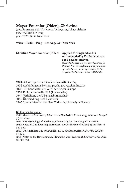## **Mayer-Fournier (Olden), Christine**

(geb. Fournier), Schriftstellerin, Verlegerin, Schauspielerin geb. 17.05.1888 in Prag gest. 7.02.1959 in New York

## **Wien – Berlin – Prag – Los Angeles – New York**

|  | Christine Mayer-Fournier (Olden) |  |
|--|----------------------------------|--|
|--|----------------------------------|--|

## **Christine Mayer-Fournier (Olden) Applied for England and is recommended by Dr. Fenichel as a good psycho-analyst.**

*Hans Sachs also wrote about her. Stay in Prague. Is to be made temporary member of Swiss Society before preceding to Los Angeles. See Sarasins letter d/d 8.5.39.*

**1924–27** Verlegerin der Kinderzeitschrift Der Tag **1926** Ausbildung am Berliner psychoanalytischen Institut **1933–38** Kandidatin der WPV der Prager Gruppe **1939** Emigration in die USA (Los Angeles)

**1944** Verleihung der US-Staatsbürgerschaft

**1945** Übersiedlung nach New York

**1945** Special Member der New Yorker Psychoanalytic Society

**Bibliografie** (Auswahl)

1941: About the Fascinating Effect of the Narcissistic Personality, *American Imago* 2 (4): 347-355.

1943: The Psychology of obstinacy, *Psychoanalytical Quarterly* 12: 240-255. 1952: Notes on Child Rearing in America, *The Psychoanalytic Study of the Child* 7: 387-392.

1953: On Adult Empathy with Children, *The Psychoanalytic Study of the Child* 8: 111-126.

1958: Notes on the Development of Empathy, *The Psychoanalytic Study of the Child* 13: 505-518.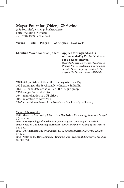# **Mayer-Fournier (Olden), Christine**

(née Fournier), writer, publisher, actress born 17.05.1888 in Prague died 07.02.1959 in New York

## **Vienna — Berlin — Prague — Los Angeles — New York**

| <b>Christine Mayer-Fournier (Olden)</b> |  |
|-----------------------------------------|--|
|-----------------------------------------|--|

## **Christine Mayer-Fournier (Olden) Applied for England and is recommended by Dr. Fenichel as a good psycho-analyst.**

*Hans Sachs also wrote about her. Stay in Prague. Is to be made temporary member of Swiss Society before preceding to Los Angeles. See Sarasins letter d/d 8.5.39.*

**1924–27** publisher of the children's magazine Der Tag training at the Psychoanalytic Institute in Berlin **1933–38** candidate of the WPV of the Prague group emigration to the USA naturalization as a US citizen relocation to New York

**1945** »special member« of the New York Psychoanalytic Society

(Select) **Bibliography**

1941: About the Fascinating Effect of the Narcissistic Personality, *American Imago* 2 (4): 347-355.

1943: The Psychology of obstinacy, *Psychoanalytical Quarterly* 12: 240-255. 1952: Notes on Child Rearing in America, *The Psychoanalytic Study of the Child* 7: 387-392.

1953: On Adult Empathy with Children, *The Psychoanalytic Study of the Child* 8: 111-126.

1958: Notes on the Development of Empathy, *The Psychoanalytic Study of the Child* 13: 505-518.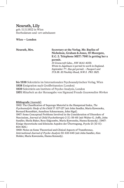## **Neurath, Lily**

geb. 11.11.1902 in Wien Sterbedatum und -ort unbekannt

#### **Wien — London**

#### **Neurath, Mrs. Secretary at the Verlag. Mr. Bayliss of Nicholson, Graham & Jones, 19 Moorgate, E.C. 2. Telephone MET: 7981 is getting her a permit.**

*31 Greencroft Gdns., NW MAI: 4059. Wrote to Jagelman re permit to work in England. September 7 th. Has got permit. – Passport sent 17.9.38. 32 Finchley Road, N.W.3. PRI: 1821.*

**bis 1938** Sekretärin im Internationalen Psychoanalytischen Verlag, Wien Emigration nach Großbritannien (London) Sekretärin am Institute of Psycho-Analysis, London Mitarbeit an der Herausgabe von Sigmund Freuds *Gesammelten Werken*

#### **Bibliografie** (Auswahl)

1962: The Classification of Superego Material in the Hampstead Index, *The Psychoanalytic Study of the Child* 17: 107-127 (mit John Sandler, Maria Kawenoka, Bernard Rosenblatt, Anneliese Schnurmann, John Sigal).

1967: Some Conceptual Problems Involved in the Consideration of Disorders of Narcissism, *Journal of Child Psychotherapie* 2 (1): 56-66 (mit Walter G. Joffe, John Sandler, Sheila Baker, Rose Edgcumbe, Maria Kawenoka, Hanna Kennedy). (1967: Einige theoretische und klinische Aspekte der Übertragung, *Psyche* 21 (10-11): 804-826.)

1969: Notes on Some Theoretical and Clinical Aspects of Transference, *International Journal of Psycho-Analysis* 50: 633-645 (mit John Sandler, Alex Holder, Maria Kawenoka, Hanna Kennedy).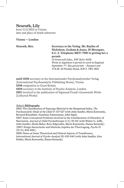# **Neurath, Lily**

born 11.11.1902 in Vienna date and place of death unknown

### **Vienna — London**

## **Neurath, Mrs. Secretary at the Verlag. Mr. Bayliss of Nicholson, Graham & Jones, 19 Moorgate, E.C. 2. Telephone MET: 7981 is getting her a permit.**

*31 Greencroft Gdns., NW MAI: 4059. Wrote to Jagelman re permit to work in England. September 7 th. Has got permit. – Passport sent 17.9.38. 32 Finchley Road, N.W.3. PRI: 1821.*

**until 1938** secretary at the Internationaler Psychoanalytischer Verlag [International Psychoanalytic Publishing House], Vienna **1938** emigration to Great Britain **1939** secretary at the Institute of Psycho-Analysis, London **1951** involved in the publication of Sigmund Freud's *Gesammelte Werke* [Collected Works]

### (Select) **Bibliography**

1962: The Classification of Superego Material in the Hampstead Index, *The Psychoanalytic Study of the Child* 17: 107-127 (with John Sandler, Maria Kawenoka, Bernard Rosenblatt, Anneliese Schnurmann, John Sigal).

1967: Some Conceptual Problems Involved in the Consideration of Disorders of Narcissism, *Journal of Child Psychotherapie* 2 (1): 56-66 (with Walter G. Joffe, John Sandler, Sheila Baker, Rose Edgcumbe, Maria Kawenoka, Hanna Kennedy). (1967: Einige theoretische und klinische Aspekte der Übertragung, *Psyche* 21 (10-11): 804-826.)

1969: Notes on Some Theoretical and Clinical Aspects of Transference, *International Journal of Psycho-Analysis* 50: 633-645 (with John Sandler, Alex Holder, Maria Kawenoka, Hanna Kennedy).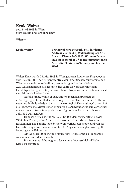## **Kruk, Walter**

geb. 24.03.1913 in Wien Sterbedatum und -ort unbekannt

**Wien — ?**

**Kruk, Walter, Brother of Mrs. Neurath. Still in Vienna – Address Vienna XX, Wallensteinplatz 4/3. Born in Vienna 24.V.1913. Wrote to Duncan Hall on September 9th re his immigration to Australia. Trained in Tannery and Leather Work.**

Walter Kruk wurde 24. Mai 1913 in Wien geboren. Laut eines Fragebogens vom 30. Juni 1938 der Fürsorgezentrale der Israelitischen Kultusgemeinde Wien, Auswanderungsabteilung, war er ledig und wohnte Wien XX, Wallensteinpatz 4/3. Er hatte drei Jahre als Verkäufer in einem Handelsgeschäft gearbeitet, hatte ein Jahr Büropraxis und arbeitete nun seit vier Jahren als Lederarbeiter.

Auf die Frage, wohin er auswandern möchte, antwortete er: »Gleichgiltig wohin«. Und auf die Frage, welche Pläne haben Sie für Ihren neuen Aufenthalt: »Jede Arbeit zu tun, womöglich Umschulungskurse«. Auf die Frage, welche Mittel stehen Ihnen für die Auswanderung zur Verfügung: »Derzeit noch etwas Reisegeld«. Er verfüge zudem über einen bis zum 8. Juli 1939 gültigen Pass.

Handschriftlich wurde am 15. 2. 1939 zudem vermerkt: »Seit Mai 1938 ohne Posten, keine Arbeitsstelle; wohnt bei der Mutter; hat kein Einkommen. Die Familie lebte bisher vom Verkauf der Möbel und von der Unterstützung durch eine Verwandte. Die Angaben seien glaubwürdig. Er beantrage eine Fahrkarte«.

Am 12. März 1939 wurde hinzugefügt: »Abgelehnt, da Flugkarte« – was immer das bedeuten mochte.

Bisher war es nicht möglich, das weitere Lebensschicksal Walter Kruks zu ermitteln.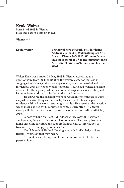## **Kruk, Walter**

born 24.03.1913 in Vienna place and date of death unknown

**Vienna — ?**

**Kruk, Walter, Brother of Mrs. Neurath. Still in Vienna – Address Vienna XX, Wallensteinplatz 4/3. Born in Vienna 24.V.1913. Wrote to Duncan Hall on September 9th re his immigration to Australia. Trained in Tannery and Leather Work.**

Walter Kruk was born on 24 May 1913 in Vienna. According to a questionnaire from 30 June 1938 by the welfare center of the Jewish congregation Vienna, emigration department, he was unmarried and lived in Vienna's 20th district on Wallensteinplatz 4/3. He had worked as a shop assistant for three years, had one year of work experience in an office, and had now been working as a leatherworker for four years.

He answered the question where he would like to emigrate to with: »anywhere.« And the question which plans he had for his new place of residence with: »Any work, retraining possible.« He answered the question which means he had for his emigration with: »Currently a little travel money.« He furthermore was in possession of a passport valid until 8 July 1939.

A note by hand on 15.02.1939 added: »Since May 1938 without employment; lives with his mother; has no income. The family has been living on selling furniture and support from a relative. Information is trustworthy. He is applying for a ticket.«

On 12 March 1939 the following was added: »Denied, as plane ticket« – whatever that may mean.

So far, it has not been possible determine Walter Kruk's further personal fate.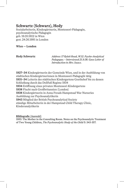# **Schwartz (Schwarz), Hedy**

Sozialarbeiterin, Kindergärtnerin, Montessori-Pädagogin, psychoanalytische Pädagogin geb. 19.05.1902 in Wien gest. 24.06.1991 in London

**Wien — London**

**Hedy Schwartz** *Address: 17 Rylett Road, W.12. Psycho-Analytical Pedagogue. – Interviewed 21.9.38. Gave Letter of Introduction to Mrs. Isaacs.*

**1927–34** Kindergärtnerin der Gemeinde Wien, und in der Ausbildung von städtischen Kindergärtnerinnen in Montessori-Pädagogik tätig **1931–34** Leiterin des städtischen Kindergartens Goethehof bis zu dessen Schließung durch das Dollfuß Regime 1934 **1934** Eröffnung eines privaten Montessori-Kindergartens **1938** Flucht nach Großbritannien (London) **1938** Kindergärtnerin in Anna Freuds Hampstead War Nurseries Ausbildung zur Psychoanalytikerin **1943** Mitglied der British Psychoanalytical Society ständige Mitarbeiterin in der Hampstead Child Therapy Clinic, Kinderanalytikerin

**Bibliografie** (Auswahl) 1950: The Mother in the Consulting Room. Notes on the Psychoanalytic Treatment of Two Young Children, *The Psychoanalytic Study of the Child* 5: 343-357.